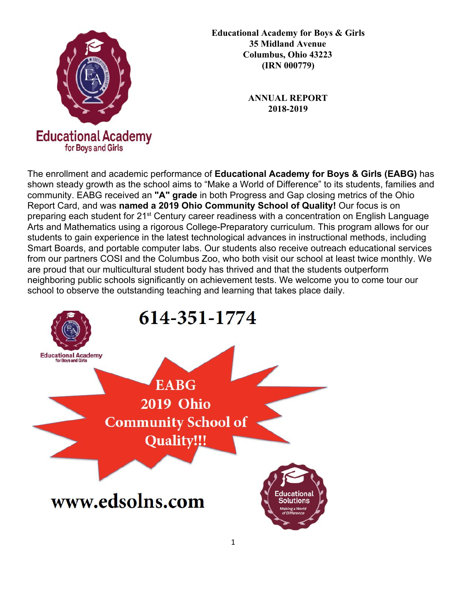

**Educational Academy for Boys & Girls 35 Midland Avenue Columbus, Ohio 43223 (IRN 000779)**

> **ANNUAL REPORT 2018-2019**

The enrollment and academic performance of **Educational Academy for Boys & Girls (EABG)** has shown steady growth as the school aims to "Make a World of Difference" to its students, families and community. EABG received an **"A" grade** in both Progress and Gap closing metrics of the Ohio Report Card, and was **named a 2019 Ohio Community School of Quality!** Our focus is on preparing each student for 21<sup>st</sup> Century career readiness with a concentration on English Language Arts and Mathematics using a rigorous College-Preparatory curriculum. This program allows for our students to gain experience in the latest technological advances in instructional methods, including Smart Boards, and portable computer labs. Our students also receive outreach educational services from our partners COSI and the Columbus Zoo, who both visit our school at least twice monthly. We are proud that our multicultural student body has thrived and that the students outperform neighboring public schools significantly on achievement tests. We welcome you to come tour our school to observe the outstanding teaching and learning that takes place daily.

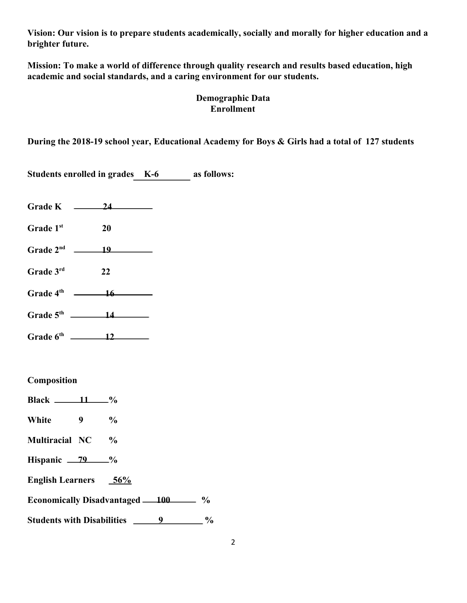**Vision: Our vision is to prepare students academically, socially and morally for higher education and a brighter future.**

**Mission: To make a world of difference through quality research and results based education, high academic and social standards, and a caring environment for our students.**

# **Demographic Data Enrollment**

**During the 2018-19 school year, Educational Academy for Boys & Girls had a total of 127 students**

**Students enrolled in grades K-6 as follows:**

- Grade K 24
- **Grade 1st 20**
- Grade  $2^{nd}$  19
- **Grade 3rd 22**
- **Grade 4th 16**
- **Grade 5th 14**
- **Grade 6th 12**

# **Composition**

**Black**  $\frac{11}{8}$ % **White 9 % Multiracial NC % Hispanic** 79  $\frac{9}{6}$ **English Learners 56% Economically Disadvantaged 100**  $\%$ **Students with Disabilities 9 %**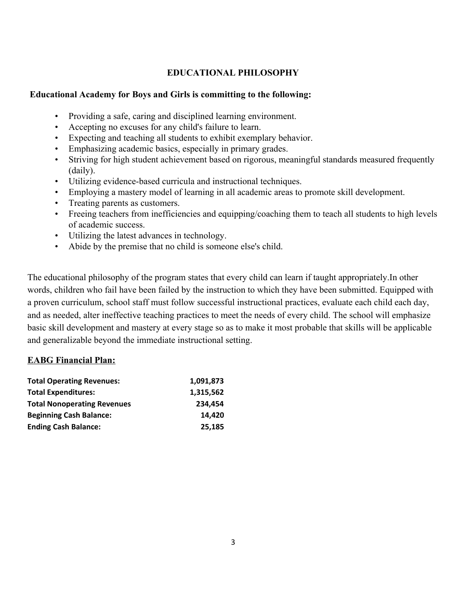# **EDUCATIONAL PHILOSOPHY**

### **Educational Academy for Boys and Girls is committing to the following:**

- Providing a safe, caring and disciplined learning environment.
- Accepting no excuses for any child's failure to learn.
- Expecting and teaching all students to exhibit exemplary behavior.
- Emphasizing academic basics, especially in primary grades.
- Striving for high student achievement based on rigorous, meaningful standards measured frequently (daily).
- Utilizing evidence-based curricula and instructional techniques.
- Employing a mastery model of learning in all academic areas to promote skill development.
- Treating parents as customers.
- Freeing teachers from inefficiencies and equipping/coaching them to teach all students to high levels of academic success.
- Utilizing the latest advances in technology.
- Abide by the premise that no child is someone else's child.

The educational philosophy of the program states that every child can learn if taught appropriately.In other words, children who fail have been failed by the instruction to which they have been submitted. Equipped with a proven curriculum, school staff must follow successful instructional practices, evaluate each child each day, and as needed, alter ineffective teaching practices to meet the needs of every child. The school will emphasize basic skill development and mastery at every stage so as to make it most probable that skills will be applicable and generalizable beyond the immediate instructional setting.

# **EABG Financial Plan:**

| <b>Total Operating Revenues:</b>   | 1,091,873 |
|------------------------------------|-----------|
| <b>Total Expenditures:</b>         | 1,315,562 |
| <b>Total Nonoperating Revenues</b> | 234.454   |
| <b>Beginning Cash Balance:</b>     | 14.420    |
| <b>Ending Cash Balance:</b>        | 25,185    |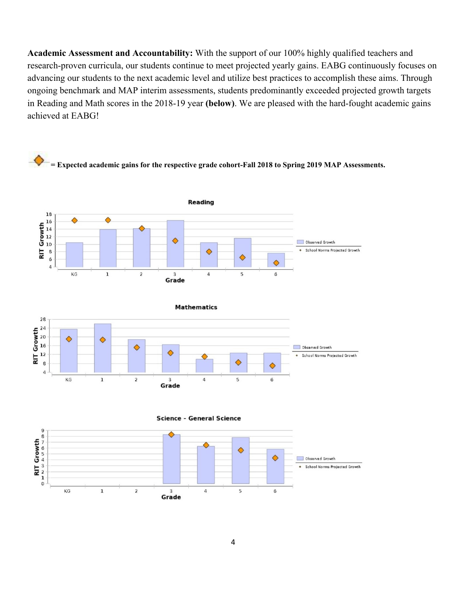**Academic Assessment and Accountability:** With the support of our 100% highly qualified teachers and research-proven curricula, our students continue to meet projected yearly gains. EABG continuously focuses on advancing our students to the next academic level and utilize best practices to accomplish these aims. Through ongoing benchmark and MAP interim assessments, students predominantly exceeded projected growth targets in Reading and Math scores in the 2018-19 year **(below)**. We are pleased with the hard-fought academic gains achieved at EABG!